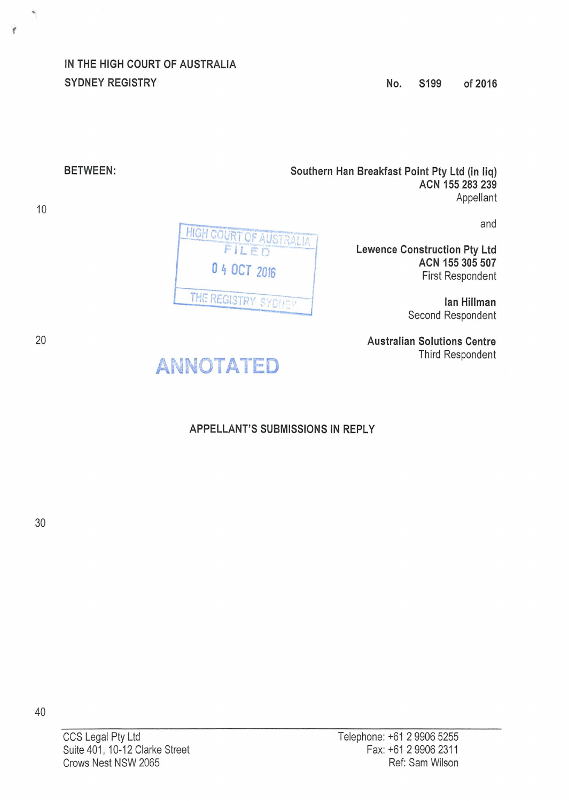IN THE HIGH COURT OF AUSTRALIA SYDNEY REGISTRY

Southern Han Breakfast Point Pty Ltd {in liq) ACN 155 283 239 Appellant

and

Lewence Construction Pty Ltd ACN 155 305 507 First Respondent

> lan Hillman Second Respondent

Australian Solutions Centre Third Respondent

**HIGH COURT OF AUSTRALIA** FILED 0 4 OCT <sup>2016</sup> THE REGISTRY SYDNEY

BETWEEN:

10

20

f



# APPELLANT'S SUBMISSIONS IN REPLY

30

CCS Legal Pty Ltd Suite 401, 10-12 Clarke Street Crows Nest NSW 2065

40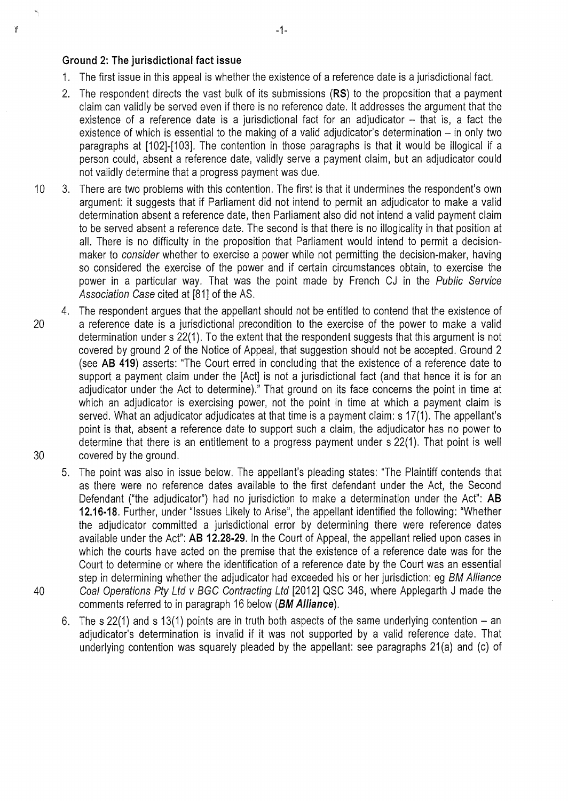#### **Ground 2: The jurisdictional fact issue**

ý

- 1. The first issue in this appeal is whether the existence of a reference date is a jurisdictional fact.
- 2. The respondent directs the vast bulk of its submissions **(RS)** to the proposition that a payment claim can validly be served even if there is no reference date. lt addresses the argument that the existence of a reference date is a jurisdictional fact for an adjudicator  $-$  that is, a fact the existence of which is essential to the making of a valid adjudicator's determination  $-$  in only two paragraphs at [102]-[103]. The contention in those paragraphs is that it would be illogical if a person could, absent a reference date, validly serve a payment claim, but an adjudicator could not validly determine that a progress payment was due.
- 10 3. There are two problems with this contention. The first is that it undermines the respondent's own argument: it suggests that if Parliament did not intend to permit an adjudicator to make a valid determination absent a reference date, then Parliament also did not intend a valid payment claim to be served absent a reference date. The second is that there is no illogicality in that position at all. There is no difficulty in the proposition that Parliament would intend to permit a decisionmaker to consider whether to exercise a power while not permitting the decision-maker, having so considered the exercise of the power and if certain circumstances obtain, to exercise the power in a particular way. That was the point made by French CJ in the Public Service Association Case cited at [81] of the AS.
- 4. The respondent argues that the appellant should not be entitled to contend that the existence of 20 a reference date is a jurisdictional precondition to the exercise of the power to make a valid determination under s 22(1). To the extent that the respondent suggests that this argument is not covered by ground 2 of the Notice of Appeal, that suggestion should not be accepted. Ground 2 (see **AB 419)** asserts: "The Court erred in concluding that the existence of a reference date to support a payment claim under the [Act] is not a jurisdictional fact (and that hence it is for an adjudicator under the Act to determine)." That ground on its face concerns the point in time at which an adjudicator is exercising power, not the point in time at which a payment claim is served. What an adjudicator adjudicates at that time is a payment claim: s 17(1). The appellant's point is that, absent a reference date to support such a claim, the adjudicator has no power to determine that there is an entitlement to a progress payment under s 22(1). That point is well 30 covered by the ground.
- 5. The point was also in issue below. The appellant's pleading states: "The Plaintiff contends that as there were no reference dates available to the first defendant under the Act, the Second Defendant ("the adjudicator") had no jurisdiction to make a determination under the Act": **AB 12.16-18.** Further, under "Issues Likely to Arise", the appellant identified the following: "Whether the adjudicator committed a jurisdictional error by determining there were reference dates available under the Act": **AB 12.28-29.** In the Court of Appeal, the appellant relied upon cases in which the courts have acted on the premise that the existence of a reference date was for the Court to determine or where the identification of a reference date by the Court was an essential step in determining whether the adjudicator had exceeded his or her jurisdiction: eg BM Alliance 40 Coal Operations Pty Ltd v BGC Contracting Ltd [2012] QSC 346, where Applegarth J made the comments referred to in paragraph 16 below **(BM Alliance).** 
	- 6. The s 22(1) and s 13(1) points are in truth both aspects of the same underlying contention  $-$  an adjudicator's determination is invalid if it was not supported by a valid reference date. That underlying contention was squarely pleaded by the appellant: see paragraphs 21(a) and (c) of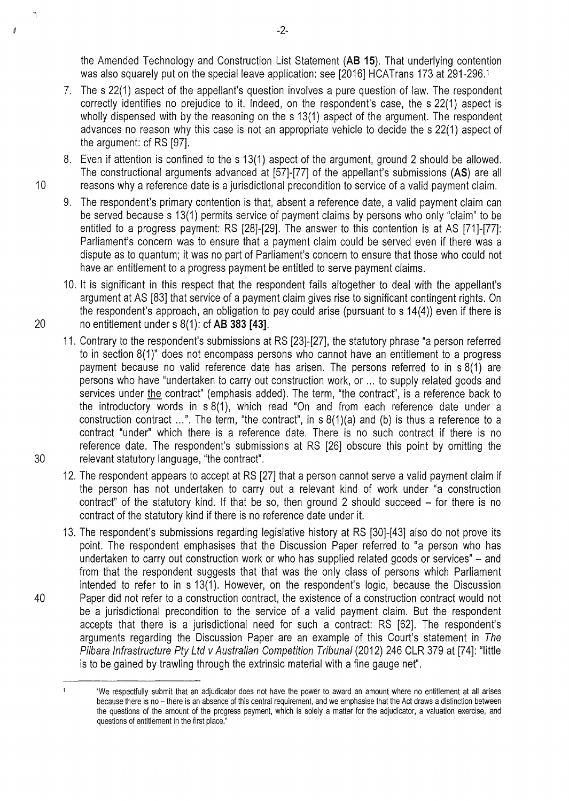the Amended Technology and Construction List Statement **(AB 15).** That underlying contention was also squarely put on the special leave application: see [2016] HCATrans 173 at 291-296.1

- 7. The s 22(1) aspect of the appellant's question involves a pure question of law. The respondent correctly identifies no prejudice to it. Indeed, on the respondent's case, the s 22(1) aspect is wholly dispensed with by the reasoning on the s 13(1) aspect of the argument. The respondent advances no reason why this case is not an appropriate vehicle to decide the s 22(1) aspect of the argument: cf RS [97].
- 8. Even if attention is confined to the s 13(1) aspect of the argument, ground 2 should be allowed. The constructional arguments advanced at [57]-[77] of the appellant's submissions **(AS)** are all 10 reasons why a reference date is a jurisdictional precondition to service of a valid payment claim.
	- 9. The respondent's primary contention is that, absent a reference date, a valid payment claim can be served because s 13(1) permits service of payment claims by persons who only "claim" to be entitled to a progress payment: RS [28]-[29]. The answer to this contention is at AS [71]-[77]: Parliament's concern was to ensure that a payment claim could be served even if there was a dispute as to quantum; it was no part of Parliament's concern to ensure that those who could not have an entitlement to a progress payment be entitled to serve payment claims.
- 10. lt is significant in this respect that the respondent fails altogether to deal with the appellant's argument at AS [83] that service of a payment claim gives rise to significant contingent rights. On the respondent's approach, an obligation to pay could arise (pursuant to s 14(4)) even if there is 20 no entitlement under s 8(1): cf **AB 383 [43].**
- 11. Contrary to the respondent's submissions at RS [23]-[27], the statutory phrase "a person referred to in section 8(1)" does not encompass persons who cannot have an entitlement to a progress payment because no valid reference date has arisen. The persons referred to in s 8(1) are persons who have "undertaken to carry out construction work, or ... to supply related goods and services under the contract" (emphasis added). The term, "the contract", is a reference back to the introductory words in s 8(1), which read "On and from each reference date under a construction contract ... ". The term, "the contract", in s 8(1)(a) and (b) is thus a reference to a contract "under" which there is a reference date. There is no such contract if there is no reference date. The respondent's submissions at RS [26] obscure this point by omitting the 30 relevant statutory language, "the contract".
	- 12. The respondent appears to accept at RS [27] that a person cannot serve a valid payment claim if the person has not undertaken to carry out a relevant kind of work under "a construction contract" of the statutory kind. If that be so, then ground 2 should succeed  $-$  for there is no contract of the statutory kind if there is no reference date under it.
- 13. The respondent's submissions regarding legislative history at RS [30]-[43] also do not prove its point. The respondent emphasises that the Discussion Paper referred to "a person who has undertaken to carry out construction work or who has supplied related goods or services" – and from that the respondent suggests that that was the only class of persons which Parliament intended to refer to in s 13(1). However, on the respondent's logic, because the Discussion 40 Paper did not refer to a construction contract, the existence of a construction contract would not be a jurisdictional precondition to the service of a valid payment claim. But the respondent accepts that there is a jurisdictional need for such a contract: RS [62]. The respondent's arguments regarding the Discussion Paper are an example of this Court's statement in The Pilbara Infrastructure Pty Ltd v Australian Competition Tribunal (2012) 246 CLR 379 at [74]: "little is to be gained by trawling through the extrinsic material with a fine gauge net".

ś

 $\mathbf{1}$ 'We respectfully submit that an adjudicator does not have the power to award an amount where no entitlement at all arises because there is no - there is an absence of this central requirement, and we emphasise that the Act draws a distinction between the questions of the amount of the progress payment, which is solely a matter for the adjudicator, a valuation exercise, and questions of entitlement in the first place.<sup>\*</sup>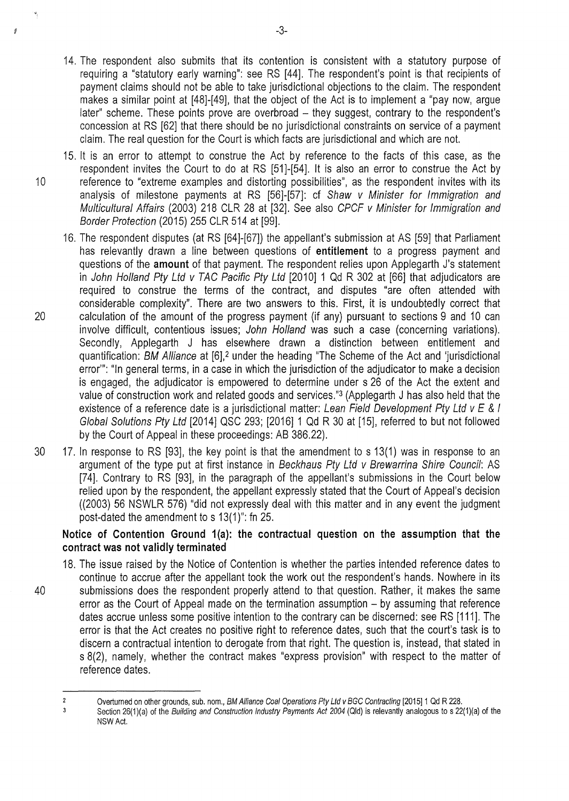- 14. The respondent also submits that its contention is consistent with a statutory purpose of requiring a "statutory early warning": see RS [44]. The respondent's point is that recipients of payment claims should not be able to take jurisdictional objections to the claim. The respondent makes a similar point at [48]-[49], that the object of the Act is to implement a "pay now, argue later" scheme. These points prove are overbroad – they suggest, contrary to the respondent's concession at RS [62] that there should be no jurisdictional constraints on service of a payment claim. The real question for the Court is which facts are jurisdictional and which are not.
- 15. lt is an error to attempt to construe the Act by reference to the facts of this case, as the respondent invites the Court to do at RS [51]-[54]. It is also an error to construe the Act by 10 reference to "extreme examples and distorting possibilities", as the respondent invites with its analysis of milestone payments at RS [56]-[57]: cf Shaw v Minister for Immigration and Multicultural Affairs (2003) 218 CLR 28 at [32]. See also CPCF v Minister for Immigration and Border Protection (2015) 255 CLR 514 at [99].
- 16. The respondent disputes (at RS [64]-[67]) the appellant's submission at AS [59] that Parliament has relevantly drawn a line between questions of **entitlement** to a progress payment and questions of the **amount** of that payment. The respondent relies upon Applegarth J's statement in John Holland Pty Ltd v TAC Pacific Pty Ltd [2010] 1 Qd R 302 at [66] that adjudicators are required to construe the terms of the contract, and disputes "are often attended with considerable complexity". There are two answers to this. First, it is undoubtedly correct that 20 calculation of the amount of the progress payment (if any) pursuant to sections 9 and 10 can involve difficult, contentious issues; John Holland was such a case (concerning variations). Secondly, Applegarth J has elsewhere drawn a distinction between entitlement and quantification: BM Alliance at [6],<sup>2</sup> under the heading "The Scheme of the Act and 'jurisdictional error"': "In general terms, in a case in which the jurisdiction of the adjudicator to make a decision is engaged, the adjudicator is empowered to determine under s 26 of the Act the extent and value of construction work and related goods and services."3 (Applegarth J has also held that the existence of a reference date is a jurisdictional matter: Lean Field Development Pty Ltd v E & I Global Solutions Pty Ltd [2014] QSC 293; [2016] 1 Qd R 30 at [15], referred to but not followed by the Court of Appeal in these proceedings: AB 386.22).
- 30 17. In response to RS [93], the key point is that the amendment to s 13(1) was in response to an argument of the type put at first instance in Beckhaus Pty Ltd v Brewarrina Shire Council: AS [74]. Contrary to RS [93], in the paragraph of the appellant's submissions in the Court below relied upon by the respondent, the appellant expressly stated that the Court of Appeal's decision ((2003) 56 NSWLR 576) "did not expressly deal with this matter and in any event the judgment post-dated the amendment to s 13(1 )": fn 25.

## Notice of Contention Ground 1(a): the contractual question on the assumption that the **contract was not validly terminated**

18. The issue raised by the Notice of Contention is whether the parties intended reference dates to continue to accrue after the appellant took the work out the respondent's hands. Nowhere in its 40 submissions does the respondent properly attend to that question. Rather, it makes the same error as the Court of Appeal made on the termination assumption – by assuming that reference dates accrue unless some positive intention to the contrary can be discerned: see RS [111]. The error is that the Act creates no positive right to reference dates, such that the court's task is to discern a contractual intention to derogate from that right. The question is, instead, that stated in s 8(2), namely, whether the contract makes "express provision" with respect to the matter of reference dates.

À

Overturned on other grounds, sub. nom., BM Alliance Coal Operations Pty Ltd v BGC Contracting [2015] 1 Qd R 228.  $\overline{2}$ 

 $\overline{3}$ Section 26(1)(a) of the Building and Construction Industry Payments Act 2004 (Qid) is relevantly analogous to s 22(1)(a) of the NSW Act.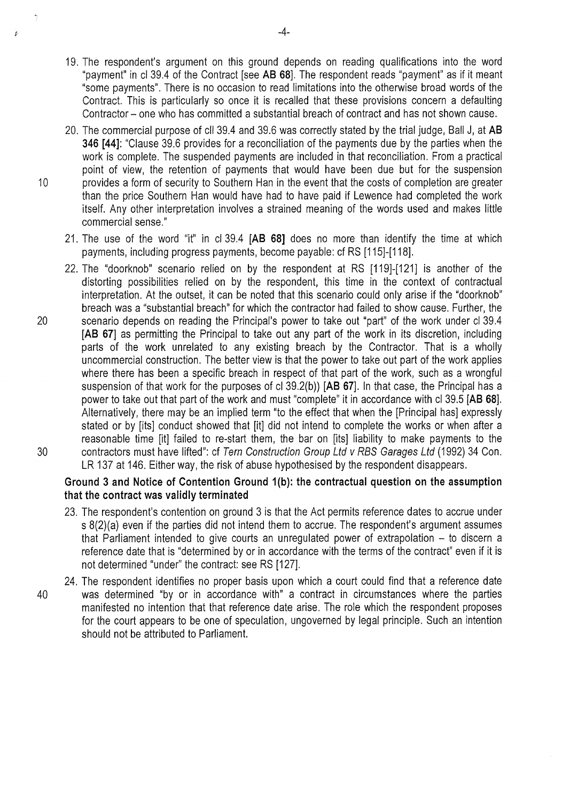- 19. The respondent's argument on this ground depends on reading qualifications into the word "payment" in cl 39.4 of the Contract [see **AB 68].** The respondent reads "payment" as if it meant "some payments". There is no occasion to read limitations into the otherwise broad words of the Contract. This is particularly so once it is recalled that these provisions concern a defaulting Contractor- one who has committed a substantial breach of contract and has not shown cause.
- 20. The commercial purpose of ell 39.4 and 39.6 was correctly stated by the trial judge, Ball J, at **AB 346 [44]:** "Clause 39.6 provides for a reconciliation of the payments due by the parties when the work is complete. The suspended payments are included in that reconciliation. From a practical point of view, the retention of payments that would have been due but for the suspension 10 provides a form of security to Southern Han in the event that the costs of completion are greater than the price Southern Han would have had to have paid if Lewence had completed the work itself. Any other interpretation involves a strained meaning of the words used and makes little commercial sense."
	- 21. The use of the word "it" in cl 39.4 **[AB 68]** does no more than identify the time at which payments, including progress payments, become payable: cf RS [115]-[118].
- 22. The "doorknob" scenario relied on by the respondent at RS [119]-[121] is another of the distorting possibilities relied on by the respondent, this time in the context of contractual interpretation. At the outset, it can be noted that this scenario could only arise if the "doorknob" breach was a "substantial breach" for which the contractor had failed to show cause. Further, the 20 scenario depends on reading the Principal's power to take out "part" of the work under cl 39.4 **[AB 67]** as permitting the Principal to take out any part of the work in its discretion, including parts of the work unrelated to any existing breach by the Contractor. That is a wholly uncommercial construction. The better view is that the power to take out part of the work applies where there has been a specific breach in respect of that part of the work, such as a wrongful suspension of that work for the purposes of cl 39.2(b)) **[AB 67].** In that case, the Principal has a power to take out that part of the work and must "complete" it in accordance with cl 39.5 **[AB 68].**  Alternatively, there may be an implied term "to the effect that when the [Principal has] expressly stated or by [its] conduct showed that [it] did not intend to complete the works or when after a reasonable time [it] failed to re-start them, the bar on [its] liability to make payments to the 30 contractors must have lifted": cf Tern Construction Group Ltd v RBS Garages Ltd (1992) 34 Con. LR 137 at 146. Either way, the risk of abuse hypothesised by the respondent disappears.

## **Ground 3 and Notice of Contention Ground 1(b): the contractual question on the assumption that the contract was validly terminated**

- 23. The respondent's contention on ground 3 is that the Act permits reference dates to accrue under s 8(2)(a) even if the parties did not intend them to accrue. The respondent's argument assumes that Parliament intended to give courts an unregulated power of extrapolation  $-$  to discern a reference date that is "determined by or in accordance with the terms of the contract" even if it is not determined "under" the contract: see RS [127].
- 24. The respondent identifies no proper basis upon which a court could find that a reference date 40 was determined "by or in accordance with" a contract in circumstances where the parties manifested no intention that that reference date arise. The role which the respondent proposes for the court appears to be one of speculation, ungoverned by legal principle. Such an intention should not be attributed to Parliament.

D